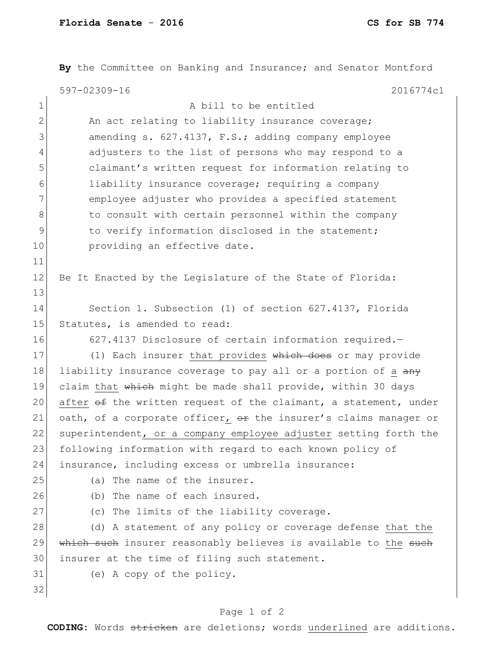|               | By the Committee on Banking and Insurance; and Senator Montford  |
|---------------|------------------------------------------------------------------|
|               | 597-02309-16<br>2016774c1                                        |
| $\mathbf 1$   | A bill to be entitled                                            |
| $\mathbf{2}$  | An act relating to liability insurance coverage;                 |
| 3             | amending s. 627.4137, F.S.; adding company employee              |
| 4             | adjusters to the list of persons who may respond to a            |
| 5             | claimant's written request for information relating to           |
| 6             | liability insurance coverage; requiring a company                |
| 7             | employee adjuster who provides a specified statement             |
| 8             | to consult with certain personnel within the company             |
| $\mathcal{G}$ | to verify information disclosed in the statement;                |
| 10            | providing an effective date.                                     |
| 11            |                                                                  |
| 12            | Be It Enacted by the Legislature of the State of Florida:        |
| 13            |                                                                  |
| 14            | Section 1. Subsection (1) of section 627.4137, Florida           |
| 15            | Statutes, is amended to read:                                    |
| 16            | 627.4137 Disclosure of certain information required.-            |
| 17            | (1) Each insurer that provides which does or may provide         |
| 18            | liability insurance coverage to pay all or a portion of a any    |
| 19            | claim that which might be made shall provide, within 30 days     |
| 20            | after of the written request of the claimant, a statement, under |
| 21            | oath, of a corporate officer, or the insurer's claims manager or |
| 22            | superintendent, or a company employee adjuster setting forth the |
| 23            | following information with regard to each known policy of        |
| 24            | insurance, including excess or umbrella insurance:               |
| 25            | (a) The name of the insurer.                                     |
| 26            | (b) The name of each insured.                                    |
| 27            | (c) The limits of the liability coverage.                        |
| 28            | (d) A statement of any policy or coverage defense that the       |
| 29            | which such insurer reasonably believes is available to the such  |
| 30            | insurer at the time of filing such statement.                    |
| 31            | (e) A copy of the policy.                                        |
| 32            |                                                                  |

## Page 1 of 2

**CODING**: Words stricken are deletions; words underlined are additions.